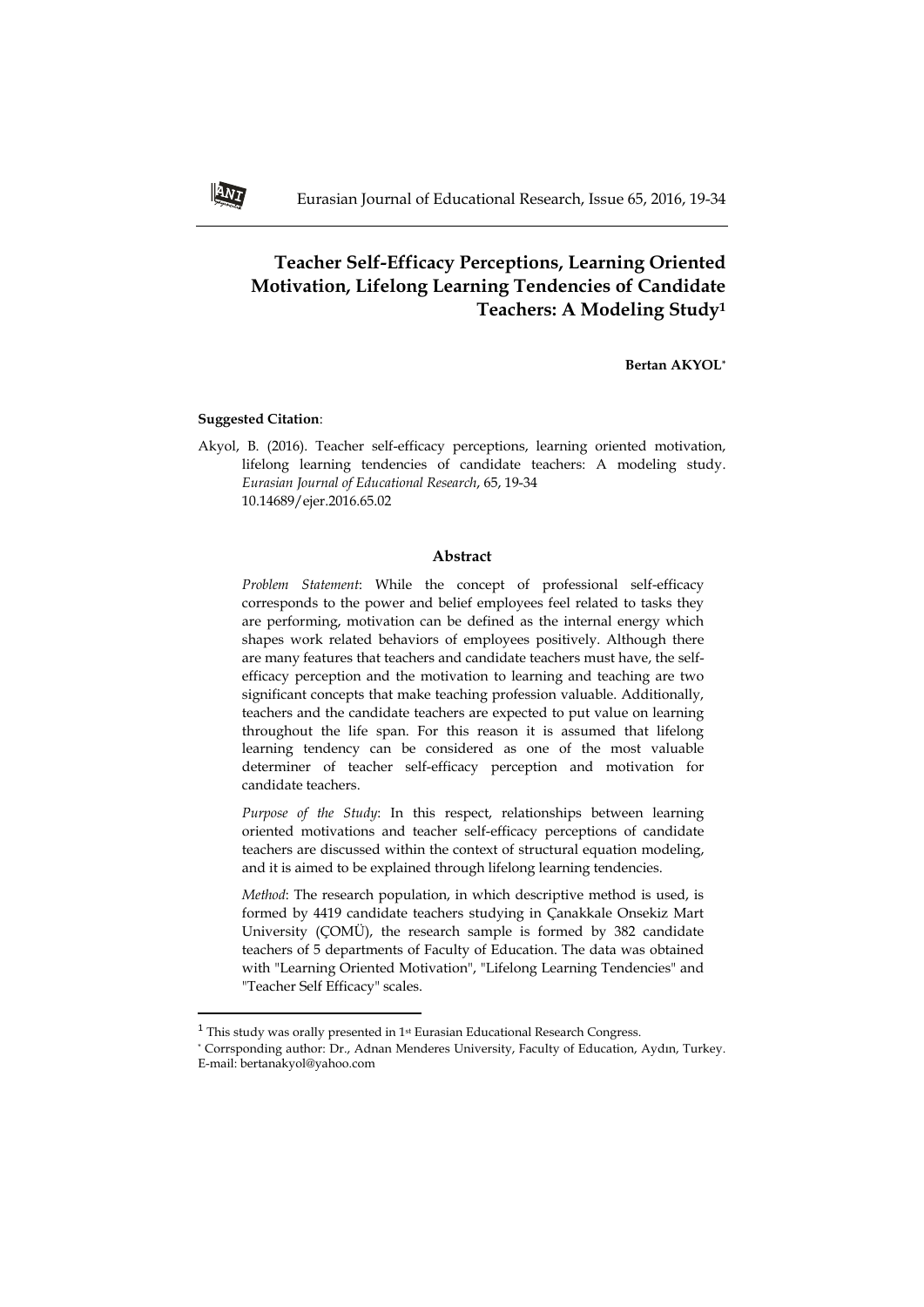# **Teacher Self-Efficacy Perceptions, Learning Oriented Motivation, Lifelong Learning Tendencies of Candidate Teachers: A Modeling Study<sup>1</sup>**

**Bertan AKYOL\***

### **Suggested Citation**:

 $\overline{\phantom{a}}$ 

Akyol, B. (2016). Teacher self-efficacy perceptions, learning oriented motivation, lifelong learning tendencies of candidate teachers: A modeling study. *Eurasian Journal of Educational Research*, 65, 19-34 10.14689/ejer.2016.65.02

#### **Abstract**

*Problem Statement*: While the concept of professional self-efficacy corresponds to the power and belief employees feel related to tasks they are performing, motivation can be defined as the internal energy which shapes work related behaviors of employees positively. Although there are many features that teachers and candidate teachers must have, the selfefficacy perception and the motivation to learning and teaching are two significant concepts that make teaching profession valuable. Additionally, teachers and the candidate teachers are expected to put value on learning throughout the life span. For this reason it is assumed that lifelong learning tendency can be considered as one of the most valuable determiner of teacher self-efficacy perception and motivation for candidate teachers.

*Purpose of the Study*: In this respect, relationships between learning oriented motivations and teacher self-efficacy perceptions of candidate teachers are discussed within the context of structural equation modeling, and it is aimed to be explained through lifelong learning tendencies.

*Method*: The research population, in which descriptive method is used, is formed by 4419 candidate teachers studying in Çanakkale Onsekiz Mart University (ÇOMÜ), the research sample is formed by 382 candidate teachers of 5 departments of Faculty of Education. The data was obtained with "Learning Oriented Motivation", "Lifelong Learning Tendencies" and "Teacher Self Efficacy" scales.



 $^{\rm 1}$  This study was orally presented in 1st Eurasian Educational Research Congress.

<sup>\*</sup> Corrsponding author: Dr., Adnan Menderes University, Faculty of Education, Aydın, Turkey. E-mail: [bertanakyol@yahoo.com](mailto:bertanakyol@yahoo.com)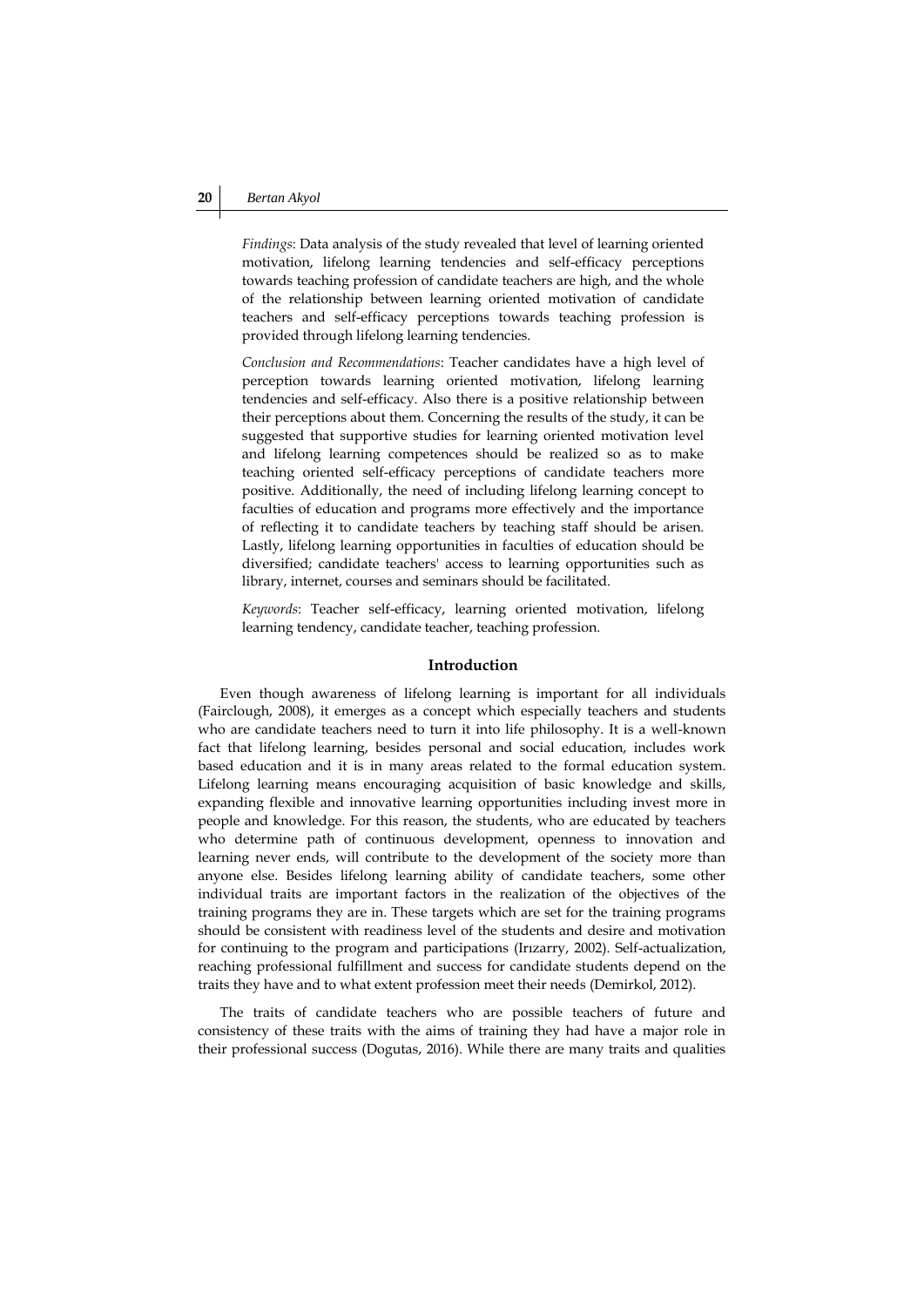*Findings*: Data analysis of the study revealed that level of learning oriented motivation, lifelong learning tendencies and self-efficacy perceptions towards teaching profession of candidate teachers are high, and the whole of the relationship between learning oriented motivation of candidate teachers and self-efficacy perceptions towards teaching profession is provided through lifelong learning tendencies.

*Conclusion and Recommendations*: Teacher candidates have a high level of perception towards learning oriented motivation, lifelong learning tendencies and self-efficacy. Also there is a positive relationship between their perceptions about them. Concerning the results of the study, it can be suggested that supportive studies for learning oriented motivation level and lifelong learning competences should be realized so as to make teaching oriented self-efficacy perceptions of candidate teachers more positive. Additionally, the need of including lifelong learning concept to faculties of education and programs more effectively and the importance of reflecting it to candidate teachers by teaching staff should be arisen. Lastly, lifelong learning opportunities in faculties of education should be diversified; candidate teachers' access to learning opportunities such as library, internet, courses and seminars should be facilitated.

*Keywords*: Teacher self-efficacy, learning oriented motivation, lifelong learning tendency, candidate teacher, teaching profession.

#### **Introduction**

Even though awareness of lifelong learning is important for all individuals (Fairclough, 2008), it emerges as a concept which especially teachers and students who are candidate teachers need to turn it into life philosophy. It is a well-known fact that lifelong learning, besides personal and social education, includes work based education and it is in many areas related to the formal education system. Lifelong learning means encouraging acquisition of basic knowledge and skills, expanding flexible and innovative learning opportunities including invest more in people and knowledge. For this reason, the students, who are educated by teachers who determine path of continuous development, openness to innovation and learning never ends, will contribute to the development of the society more than anyone else. Besides lifelong learning ability of candidate teachers, some other individual traits are important factors in the realization of the objectives of the training programs they are in. These targets which are set for the training programs should be consistent with readiness level of the students and desire and motivation for continuing to the program and participations (Irızarry, 2002). Self-actualization, reaching professional fulfillment and success for candidate students depend on the traits they have and to what extent profession meet their needs (Demirkol, 2012).

The traits of candidate teachers who are possible teachers of future and consistency of these traits with the aims of training they had have a major role in their professional success (Dogutas, 2016). While there are many traits and qualities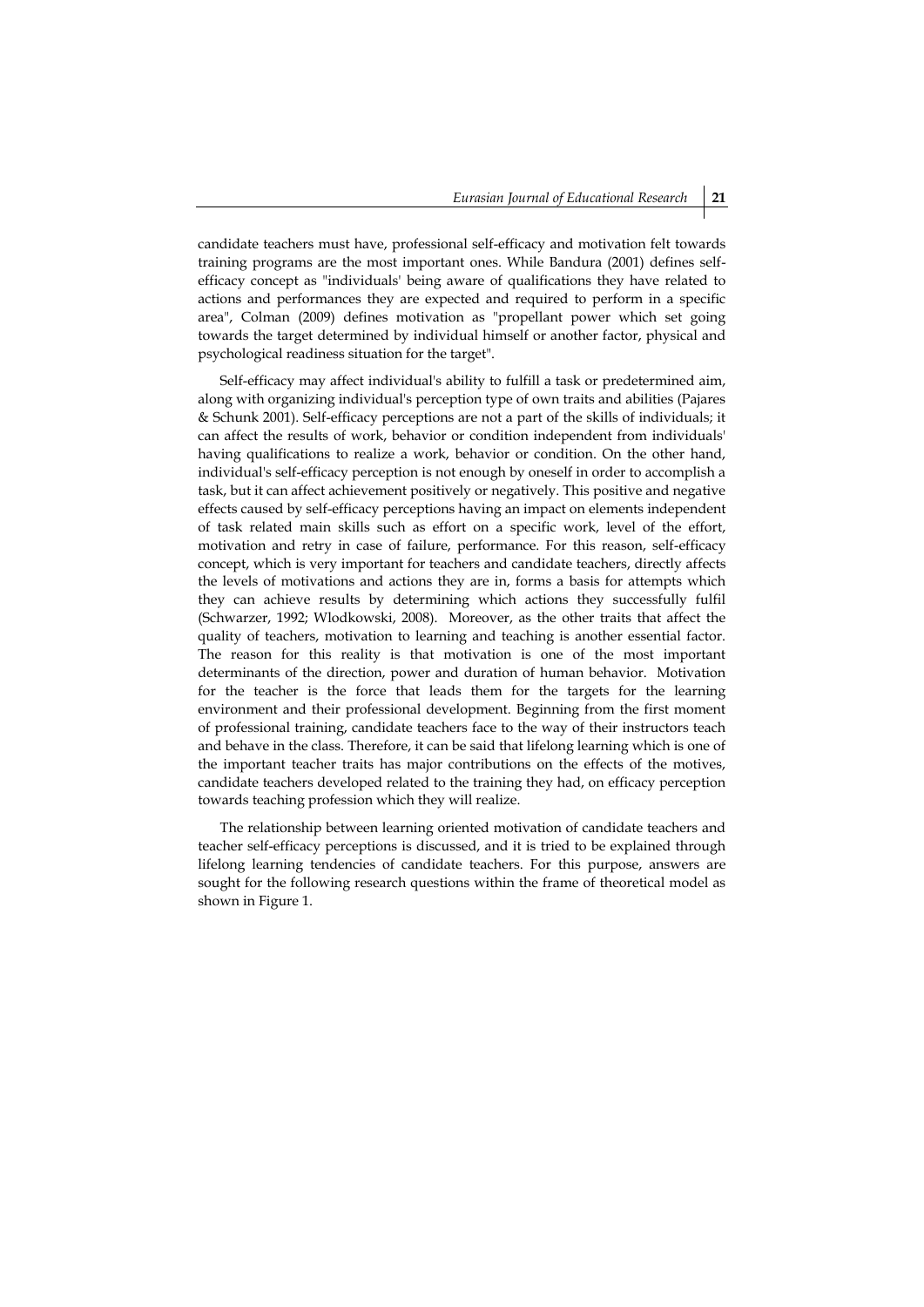candidate teachers must have, professional self-efficacy and motivation felt towards training programs are the most important ones. While Bandura (2001) defines selfefficacy concept as "individuals' being aware of qualifications they have related to actions and performances they are expected and required to perform in a specific area", Colman (2009) defines motivation as "propellant power which set going towards the target determined by individual himself or another factor, physical and psychological readiness situation for the target".

Self-efficacy may affect individual's ability to fulfill a task or predetermined aim, along with organizing individual's perception type of own traits and abilities (Pajares & Schunk 2001). Self-efficacy perceptions are not a part of the skills of individuals; it can affect the results of work, behavior or condition independent from individuals' having qualifications to realize a work, behavior or condition. On the other hand, individual's self-efficacy perception is not enough by oneself in order to accomplish a task, but it can affect achievement positively or negatively. This positive and negative effects caused by self-efficacy perceptions having an impact on elements independent of task related main skills such as effort on a specific work, level of the effort, motivation and retry in case of failure, performance. For this reason, self-efficacy concept, which is very important for teachers and candidate teachers, directly affects the levels of motivations and actions they are in, forms a basis for attempts which they can achieve results by determining which actions they successfully fulfil (Schwarzer, 1992; Wlodkowski, 2008). Moreover, as the other traits that affect the quality of teachers, motivation to learning and teaching is another essential factor. The reason for this reality is that motivation is one of the most important determinants of the direction, power and duration of human behavior. Motivation for the teacher is the force that leads them for the targets for the learning environment and their professional development. Beginning from the first moment of professional training, candidate teachers face to the way of their instructors teach and behave in the class. Therefore, it can be said that lifelong learning which is one of the important teacher traits has major contributions on the effects of the motives, candidate teachers developed related to the training they had, on efficacy perception towards teaching profession which they will realize.

The relationship between learning oriented motivation of candidate teachers and teacher self-efficacy perceptions is discussed, and it is tried to be explained through lifelong learning tendencies of candidate teachers. For this purpose, answers are sought for the following research questions within the frame of theoretical model as shown in Figure 1.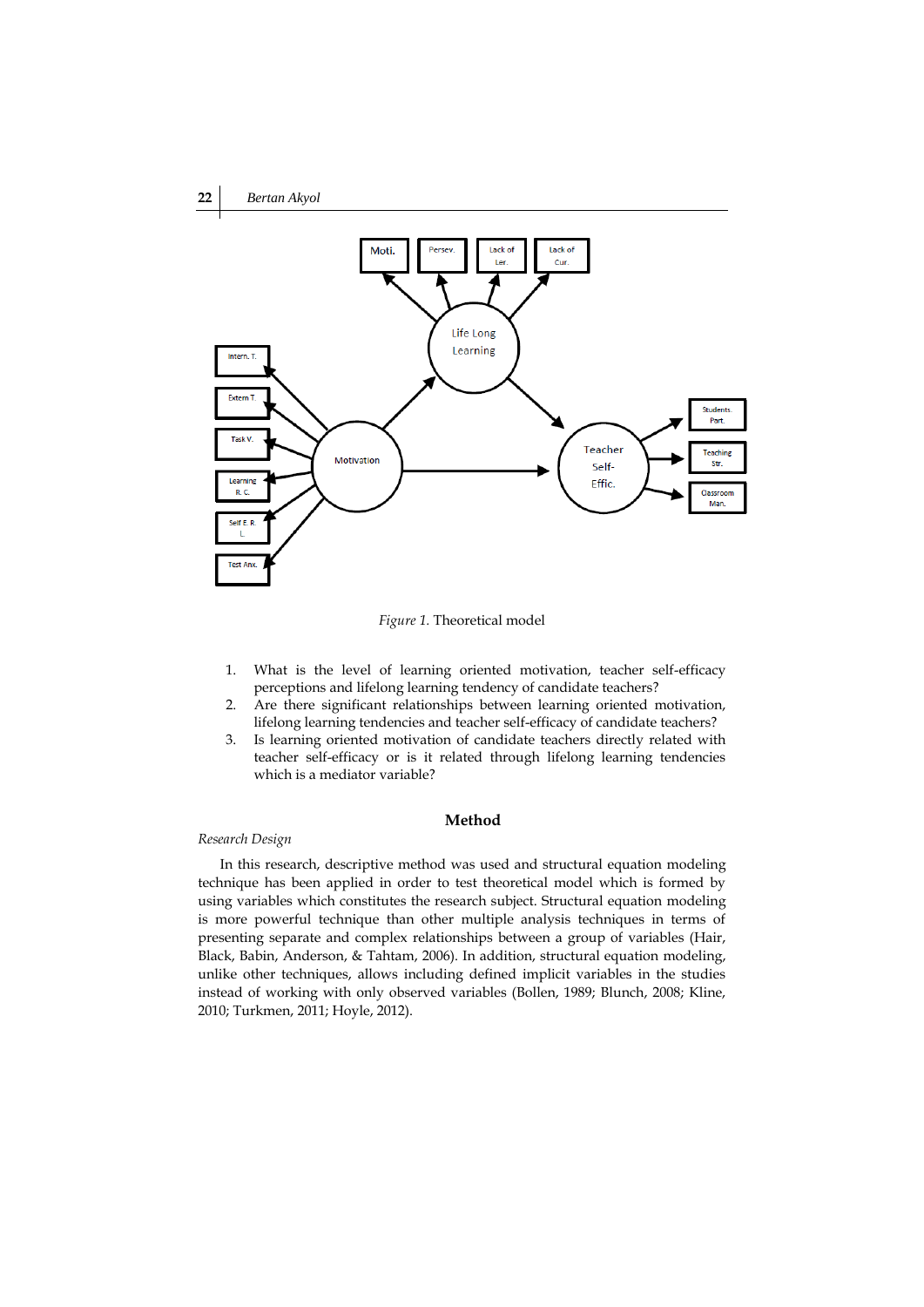

*Figure 1.* Theoretical model

- 1. What is the level of learning oriented motivation, teacher self-efficacy perceptions and lifelong learning tendency of candidate teachers?
- 2. Are there significant relationships between learning oriented motivation, lifelong learning tendencies and teacher self-efficacy of candidate teachers?
- 3. Is learning oriented motivation of candidate teachers directly related with teacher self-efficacy or is it related through lifelong learning tendencies which is a mediator variable?

# **Method**

### *Research Design*

In this research, descriptive method was used and structural equation modeling technique has been applied in order to test theoretical model which is formed by using variables which constitutes the research subject. Structural equation modeling is more powerful technique than other multiple analysis techniques in terms of presenting separate and complex relationships between a group of variables (Hair, Black, Babin, Anderson, & Tahtam, 2006). In addition, structural equation modeling, unlike other techniques, allows including defined implicit variables in the studies instead of working with only observed variables (Bollen, 1989; Blunch, 2008; Kline, 2010; Turkmen, 2011; Hoyle, 2012).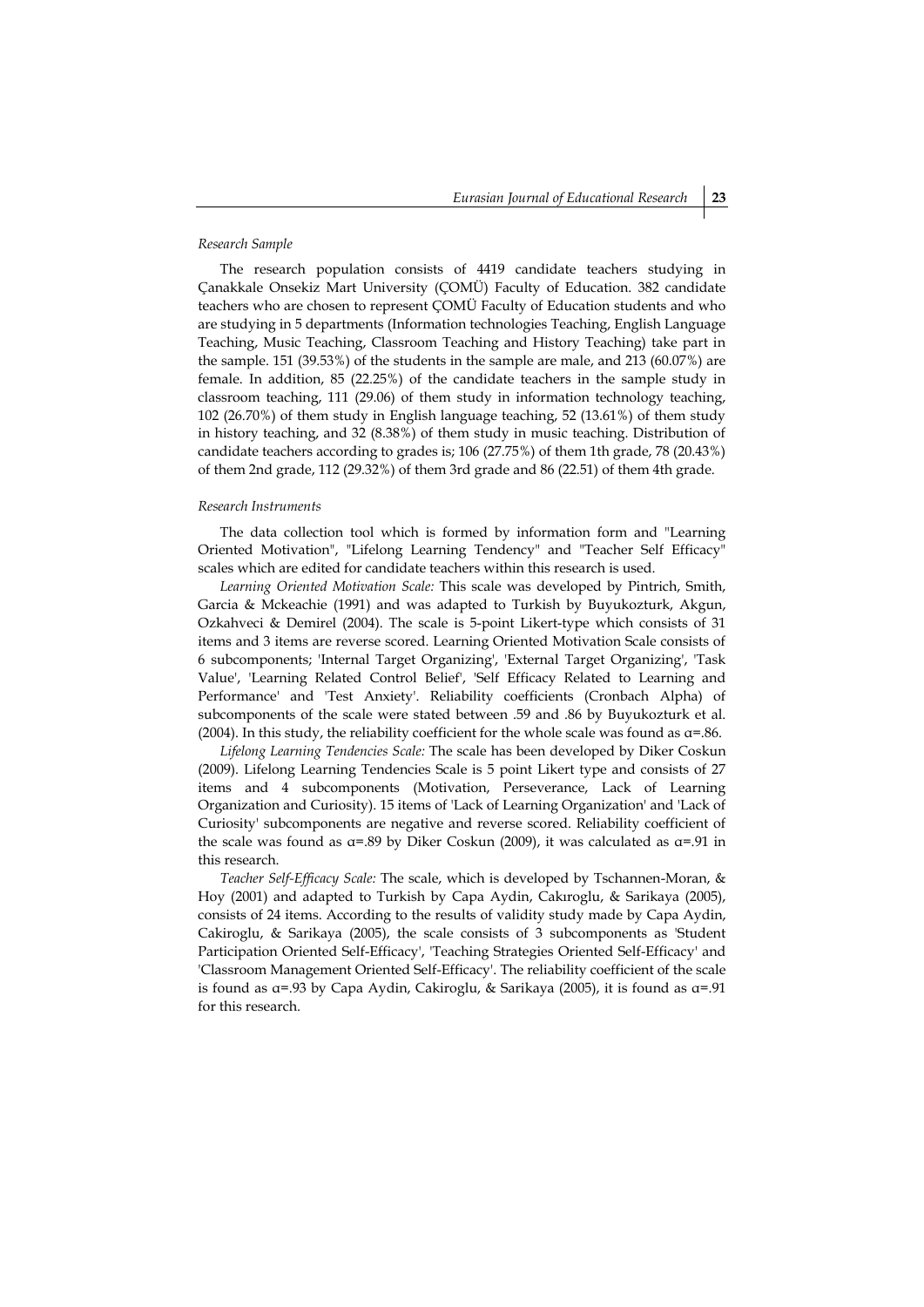#### *Research Sample*

The research population consists of 4419 candidate teachers studying in Çanakkale Onsekiz Mart University (ÇOMÜ) Faculty of Education. 382 candidate teachers who are chosen to represent ÇOMÜ Faculty of Education students and who are studying in 5 departments (Information technologies Teaching, English Language Teaching, Music Teaching, Classroom Teaching and History Teaching) take part in the sample. 151 (39.53%) of the students in the sample are male, and 213 (60.07%) are female. In addition, 85 (22.25%) of the candidate teachers in the sample study in classroom teaching, 111 (29.06) of them study in information technology teaching, 102 (26.70%) of them study in English language teaching, 52 (13.61%) of them study in history teaching, and 32 (8.38%) of them study in music teaching. Distribution of candidate teachers according to grades is; 106 (27.75%) of them 1th grade, 78 (20.43%) of them 2nd grade, 112 (29.32%) of them 3rd grade and 86 (22.51) of them 4th grade.

### *Research Instruments*

The data collection tool which is formed by information form and "Learning Oriented Motivation", "Lifelong Learning Tendency" and "Teacher Self Efficacy" scales which are edited for candidate teachers within this research is used.

*Learning Oriented Motivation Scale:* This scale was developed by Pintrich, Smith, Garcia & Mckeachie (1991) and was adapted to Turkish by Buyukozturk, Akgun, Ozkahveci & Demirel (2004). The scale is 5-point Likert-type which consists of 31 items and 3 items are reverse scored. Learning Oriented Motivation Scale consists of 6 subcomponents; 'Internal Target Organizing', 'External Target Organizing', 'Task Value', 'Learning Related Control Belief', 'Self Efficacy Related to Learning and Performance' and 'Test Anxiety'. Reliability coefficients (Cronbach Alpha) of subcomponents of the scale were stated between .59 and .86 by Buyukozturk et al. (2004). In this study, the reliability coefficient for the whole scale was found as  $\alpha$ =.86.

*Lifelong Learning Tendencies Scale:* The scale has been developed by Diker Coskun (2009). Lifelong Learning Tendencies Scale is 5 point Likert type and consists of 27 items and 4 subcomponents (Motivation, Perseverance, Lack of Learning Organization and Curiosity). 15 items of 'Lack of Learning Organization' and 'Lack of Curiosity' subcomponents are negative and reverse scored. Reliability coefficient of the scale was found as  $\alpha$ =.89 by Diker Coskun (2009), it was calculated as  $\alpha$ =.91 in this research.

*Teacher Self-Efficacy Scale:* The scale, which is developed by Tschannen-Moran, & Hoy (2001) and adapted to Turkish by Capa Aydin, Cakıroglu, & Sarikaya (2005), consists of 24 items. According to the results of validity study made by Capa Aydin, Cakiroglu, & Sarikaya (2005), the scale consists of 3 subcomponents as 'Student Participation Oriented Self-Efficacy', 'Teaching Strategies Oriented Self-Efficacy' and 'Classroom Management Oriented Self-Efficacy'. The reliability coefficient of the scale is found as α=.93 by Capa Aydin, Cakiroglu, & Sarikaya (2005), it is found as α=.91 for this research.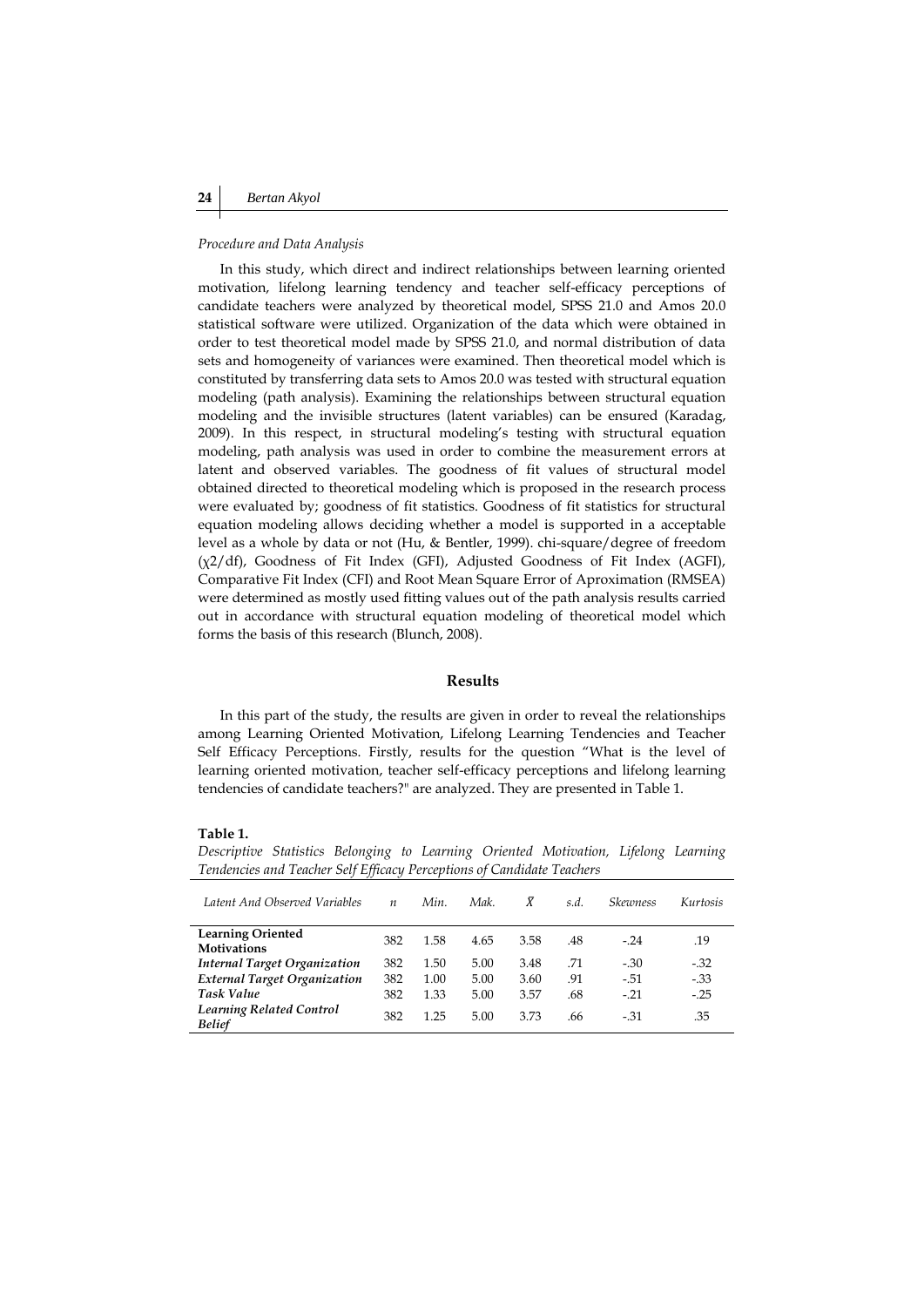#### *Procedure and Data Analysis*

In this study, which direct and indirect relationships between learning oriented motivation, lifelong learning tendency and teacher self-efficacy perceptions of candidate teachers were analyzed by theoretical model, SPSS 21.0 and Amos 20.0 statistical software were utilized. Organization of the data which were obtained in order to test theoretical model made by SPSS 21.0, and normal distribution of data sets and homogeneity of variances were examined. Then theoretical model which is constituted by transferring data sets to Amos 20.0 was tested with structural equation modeling (path analysis). Examining the relationships between structural equation modeling and the invisible structures (latent variables) can be ensured (Karadag, 2009). In this respect, in structural modeling's testing with structural equation modeling, path analysis was used in order to combine the measurement errors at latent and observed variables. The goodness of fit values of structural model obtained directed to theoretical modeling which is proposed in the research process were evaluated by; goodness of fit statistics. Goodness of fit statistics for structural equation modeling allows deciding whether a model is supported in a acceptable level as a whole by data or not (Hu, & Bentler, 1999). chi-square/degree of freedom (χ2/df), Goodness of Fit Index (GFI), Adjusted Goodness of Fit Index (AGFI), Comparative Fit Index (CFI) and Root Mean Square Error of Aproximation (RMSEA) were determined as mostly used fitting values out of the path analysis results carried out in accordance with structural equation modeling of theoretical model which forms the basis of this research (Blunch, 2008).

# **Results**

In this part of the study, the results are given in order to reveal the relationships among Learning Oriented Motivation, Lifelong Learning Tendencies and Teacher Self Efficacy Perceptions. Firstly, results for the question "What is the level of learning oriented motivation, teacher self-efficacy perceptions and lifelong learning tendencies of candidate teachers?" are analyzed. They are presented in Table 1.

#### **Table 1.**

*Descriptive Statistics Belonging to Learning Oriented Motivation, Lifelong Learning Tendencies and Teacher Self Efficacy Perceptions of Candidate Teachers*

| Latent And Observed Variables                    | $\boldsymbol{n}$ | Min. | Mak. | X    | s.d. | Skewness | Kurtosis |
|--------------------------------------------------|------------------|------|------|------|------|----------|----------|
| <b>Learning Oriented</b><br><b>Motivations</b>   | 382              | 1.58 | 4.65 | 3.58 | .48  | $-.24$   | .19      |
| <b>Internal Target Organization</b>              | 382              | 1.50 | 5.00 | 3.48 | .71  | $-30$    | $-.32$   |
| <b>External Target Organization</b>              | 382              | 1.00 | 5.00 | 3.60 | .91  | $-51$    | $-33$    |
| <b>Task Value</b>                                | 382              | 1.33 | 5.00 | 3.57 | .68  | $-.21$   | $-.25$   |
| <b>Learning Related Control</b><br><b>Belief</b> | 382              | 1 25 | 5.00 | 3.73 | .66  | $-.31$   | .35      |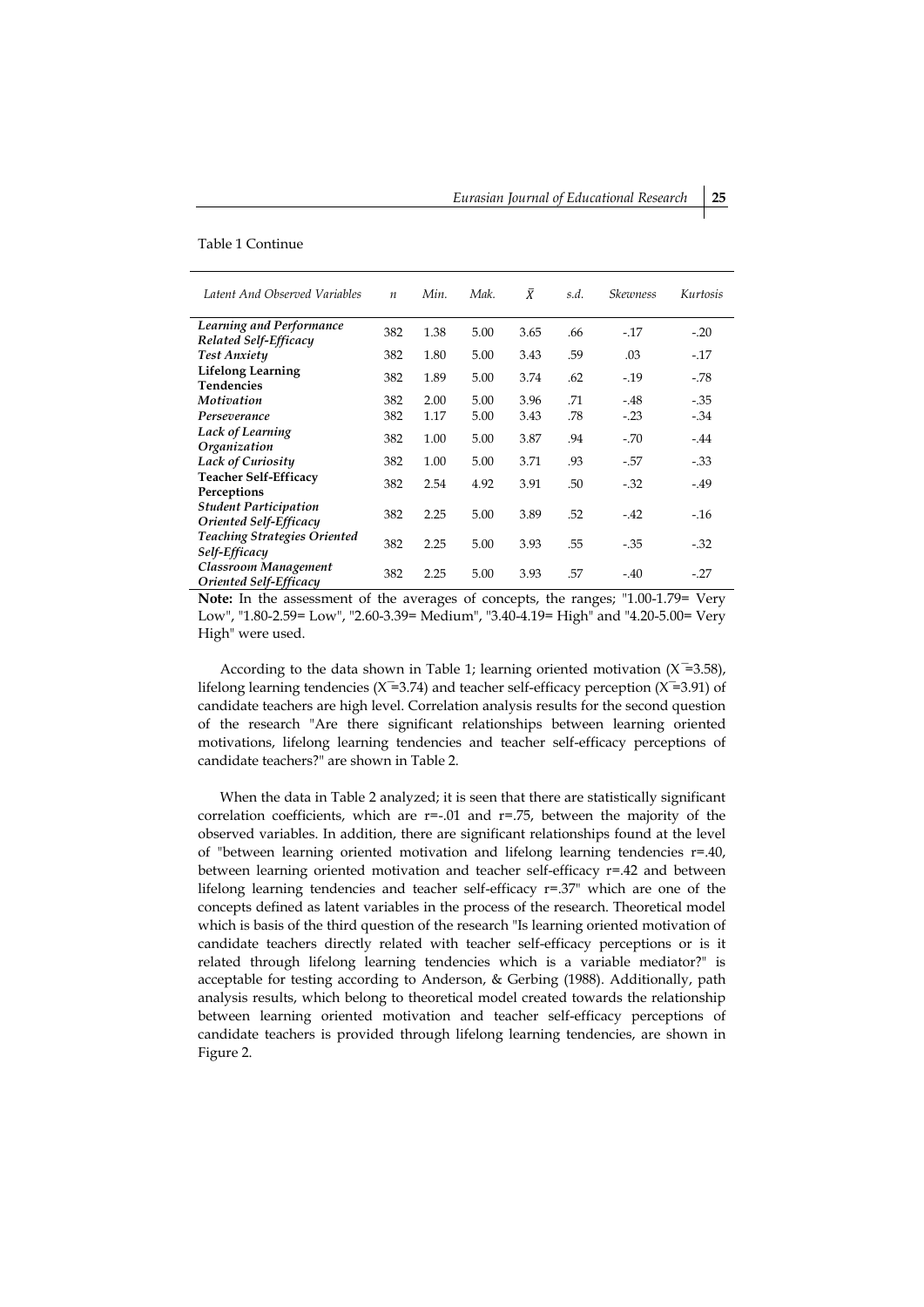#### Table 1 Continue

| Latent And Observed Variables                          | $\boldsymbol{n}$ | Min. | Mak. | $\bar{X}$ | s.d. | <b>Skewness</b> | Kurtosis |
|--------------------------------------------------------|------------------|------|------|-----------|------|-----------------|----------|
| <b>Learning and Performance</b>                        | 382              | 1.38 | 5.00 | 3.65      | .66  | $-.17$          | $-.20$   |
| Related Self-Efficacy<br><b>Test Anxiety</b>           | 382              | 1.80 | 5.00 | 3.43      | .59  | .03             | $-17$    |
| <b>Lifelong Learning</b><br><b>Tendencies</b>          | 382              | 1.89 | 5.00 | 3.74      | .62  | $-.19$          | $-78$    |
| Motivation                                             | 382              | 2.00 | 5.00 | 3.96      | .71  | $-.48$          | $-0.35$  |
| Perseverance                                           | 382              | 1.17 | 5.00 | 3.43      | .78  | $-.23$          | $-34$    |
| Lack of Learning<br>Organization                       | 382              | 1.00 | 5.00 | 3.87      | .94  | $-.70$          | $-.44$   |
| <b>Lack of Curiosity</b>                               | 382              | 1.00 | 5.00 | 3.71      | .93  | $-.57$          | $-33$    |
| <b>Teacher Self-Efficacy</b><br>Perceptions            | 382              | 2.54 | 4.92 | 3.91      | .50  | $-.32$          | $-.49$   |
| <b>Student Participation</b><br>Oriented Self-Efficacy | 382              | 2.25 | 5.00 | 3.89      | .52  | $-.42$          | $-16$    |
| <b>Teaching Strategies Oriented</b><br>Self-Efficacy   | 382              | 2.25 | 5.00 | 3.93      | .55  | $-0.35$         | $-.32$   |
| Classroom Management<br>Oriented Self-Efficacy         | 382              | 2.25 | 5.00 | 3.93      | .57  | $-.40$          | $-.27$   |

**Note:** In the assessment of the averages of concepts, the ranges; "1.00-1.79= Very Low", "1.80-2.59= Low", "2.60-3.39= Medium", "3.40-4.19= High" and "4.20-5.00= Very High" were used.

According to the data shown in Table 1; learning oriented motivation  $(X=3.58)$ , lifelong learning tendencies ( $X = 3.74$ ) and teacher self-efficacy perception ( $X = 3.91$ ) of candidate teachers are high level. Correlation analysis results for the second question of the research "Are there significant relationships between learning oriented motivations, lifelong learning tendencies and teacher self-efficacy perceptions of candidate teachers?" are shown in Table 2.

When the data in Table 2 analyzed; it is seen that there are statistically significant correlation coefficients, which are  $r=-.01$  and  $r=.75$ , between the majority of the observed variables. In addition, there are significant relationships found at the level of "between learning oriented motivation and lifelong learning tendencies r=.40, between learning oriented motivation and teacher self-efficacy r=.42 and between lifelong learning tendencies and teacher self-efficacy r=.37" which are one of the concepts defined as latent variables in the process of the research. Theoretical model which is basis of the third question of the research "Is learning oriented motivation of candidate teachers directly related with teacher self-efficacy perceptions or is it related through lifelong learning tendencies which is a variable mediator?" is acceptable for testing according to Anderson, & Gerbing (1988). Additionally, path analysis results, which belong to theoretical model created towards the relationship between learning oriented motivation and teacher self-efficacy perceptions of candidate teachers is provided through lifelong learning tendencies, are shown in Figure 2.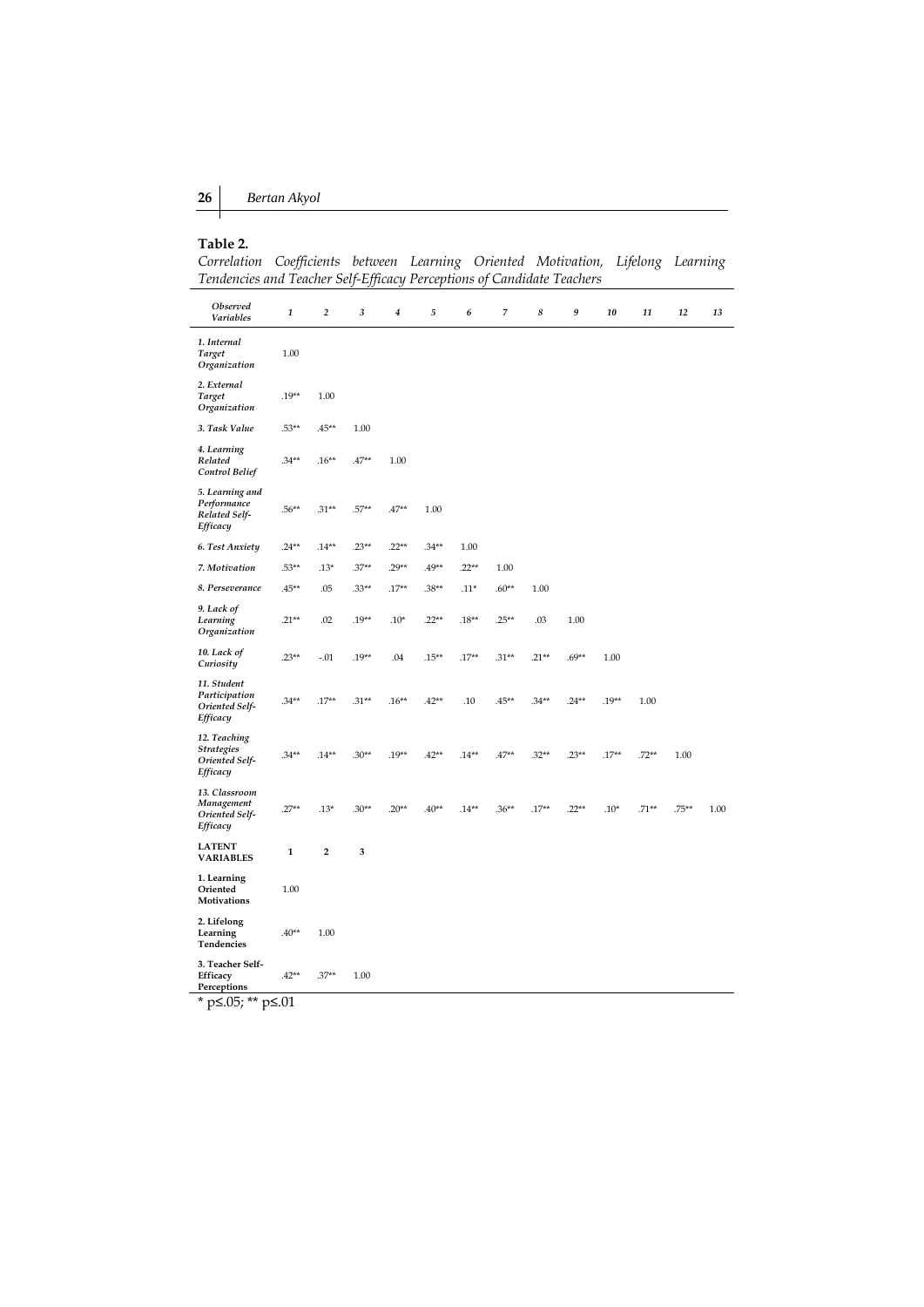# **Table 2.**

*Correlation Coefficients between Learning Oriented Motivation, Lifelong Learning Tendencies and Teacher Self-Efficacy Perceptions of Candidate Teachers*

| <b>Observed</b><br>Variables                                    | 1           | $\overline{2}$          | 3       | $\boldsymbol{4}$ | 5       | 6       | 7        | 8       | 9       | 10      | 11      | 12       | 13   |
|-----------------------------------------------------------------|-------------|-------------------------|---------|------------------|---------|---------|----------|---------|---------|---------|---------|----------|------|
| 1. Internal<br><b>Target</b><br>Organization                    | 1.00        |                         |         |                  |         |         |          |         |         |         |         |          |      |
| 2. External<br>Target<br>Organization                           | $.19**$     | 1.00                    |         |                  |         |         |          |         |         |         |         |          |      |
| 3. Task Value                                                   | $.53**$     | $.45**$                 | 1.00    |                  |         |         |          |         |         |         |         |          |      |
| 4. Learning<br>Related<br><b>Control Belief</b>                 | $.34**$     | $.16**$                 | $.47**$ | 1.00             |         |         |          |         |         |         |         |          |      |
| 5. Learning and<br>Performance<br>Related Self-<br>Efficacy     | $.56***$    | $.31**$                 | $.57**$ | $.47**$          | 1.00    |         |          |         |         |         |         |          |      |
| 6. Test Anxiety                                                 | $.24**$     | $.14**$                 | $.23**$ | $.22**$          | $.34**$ | 1.00    |          |         |         |         |         |          |      |
| 7. Motivation                                                   | $.53**$     | $.13*$                  | $.37**$ | $.29**$          | $.49**$ | $.22**$ | 1.00     |         |         |         |         |          |      |
| 8. Perseverance                                                 | $.45**$     | .05                     | $.33**$ | $.17**$          | $.38**$ | $.11*$  | $.60**$  | 1.00    |         |         |         |          |      |
| 9. Lack of<br>Learning<br>Organization                          | $.21**$     | .02                     | $.19**$ | $.10*$           | $.22**$ | $.18**$ | $.25***$ | .03     | 1.00    |         |         |          |      |
| 10. Lack of<br>Curiosity                                        | $.23**$     | $-.01$                  | $.19**$ | .04              | $.15**$ | $.17**$ | $.31**$  | $.21**$ | $.69**$ | 1.00    |         |          |      |
| 11. Student<br>Participation<br>Oriented Self-<br>Efficacy      | $.34**$     | $.17**$                 | $.31**$ | $.16***$         | $.42**$ | .10     | $.45**$  | $.34**$ | $.24**$ | $.19**$ | 1.00    |          |      |
| 12. Teaching<br><b>Strategies</b><br>Oriented Self-<br>Efficacy | $.34**$     | $.14**$                 | $.30**$ | $.19**$          | $.42**$ | $.14**$ | $.47**$  | $.32**$ | $.23**$ | $.17**$ | $.72**$ | 1.00     |      |
| 13. Classroom<br>Management<br>Oriented Self-<br>Efficacy       | $.27**$     | $.13*$                  | $.30**$ | $.20**$          | $.40**$ | $.14**$ | $.36***$ | $.17**$ | $.22**$ | $.10*$  | $.71**$ | $.75***$ | 1.00 |
| <b>LATENT</b><br><b>VARIABLES</b>                               | $\mathbf 1$ | $\overline{\mathbf{2}}$ | 3       |                  |         |         |          |         |         |         |         |          |      |
| 1. Learning<br>Oriented<br>Motivations                          | 1.00        |                         |         |                  |         |         |          |         |         |         |         |          |      |
| 2. Lifelong<br>Learning<br>Tendencies                           | $.40**$     | 1.00                    |         |                  |         |         |          |         |         |         |         |          |      |
| 3. Teacher Self-<br>Efficacy<br>Perceptions                     | $.42**$     | $.37**$                 | 1.00    |                  |         |         |          |         |         |         |         |          |      |

\* p≤.05; \*\* p≤.01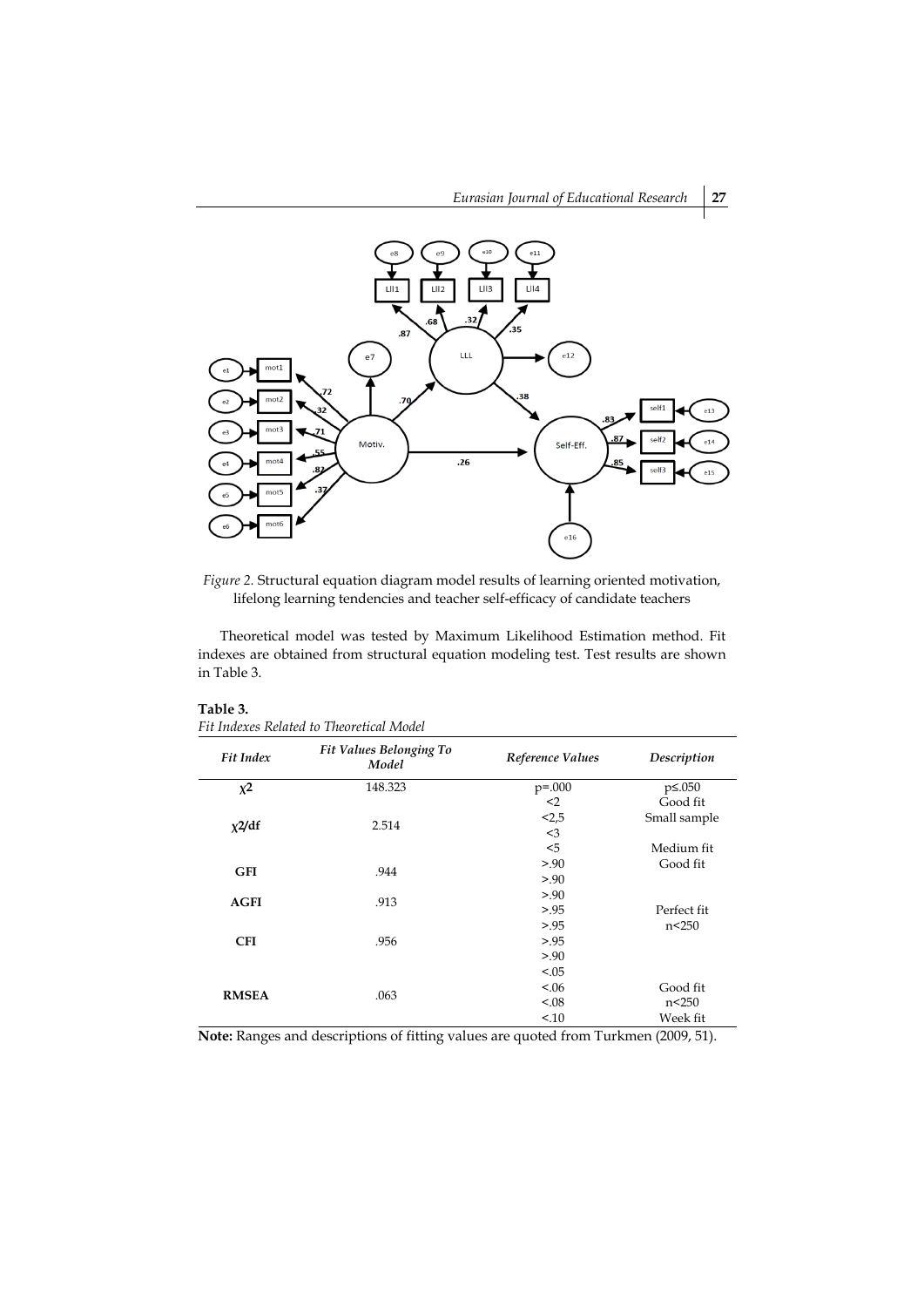

*Figure 2.* Structural equation diagram model results of learning oriented motivation, lifelong learning tendencies and teacher self-efficacy of candidate teachers

Theoretical model was tested by Maximum Likelihood Estimation method. Fit indexes are obtained from structural equation modeling test. Test results are shown in Table 3.

# **Table 3.**



| <b>Fit Index</b> | Fit Values Belonging To<br>Model | Reference Values | Description   |
|------------------|----------------------------------|------------------|---------------|
| $x^2$            | 148.323                          | $p = 0.000$      | $p\leq 0.050$ |
|                  |                                  | $2$              | Good fit      |
|                  | 2.514                            | < 2, 5           | Small sample  |
| $x^2/df$         |                                  | $<$ 3            |               |
|                  |                                  | < 5              | Medium fit    |
| <b>GFI</b>       | .944                             | > 0.90           | Good fit      |
|                  |                                  | > 0.90           |               |
| <b>AGFI</b>      | .913                             | > 0.90           |               |
|                  |                                  | > 0.95           | Perfect fit   |
|                  |                                  | > 0.95           | n<250         |
| <b>CFI</b>       | .956                             | > 0.95           |               |
|                  |                                  | > 0.90           |               |
| <b>RMSEA</b>     |                                  | < 0.05           |               |
|                  |                                  | < 0.06           | Good fit      |
|                  | .063                             | < 0.08           | n<250         |
|                  |                                  | 10               | Week fit      |

**Note:** Ranges and descriptions of fitting values are quoted from Turkmen (2009, 51).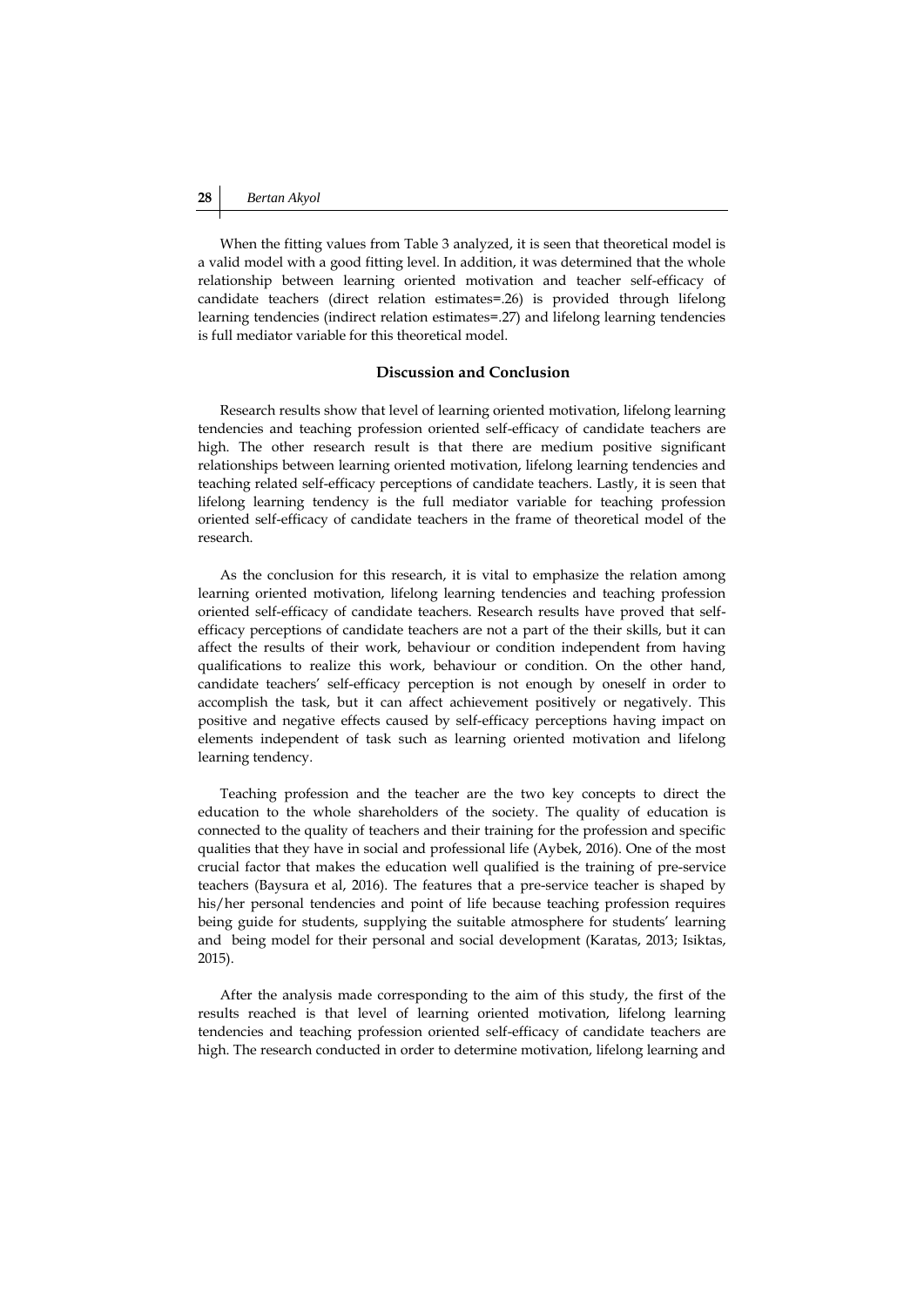When the fitting values from Table 3 analyzed, it is seen that theoretical model is a valid model with a good fitting level. In addition, it was determined that the whole relationship between learning oriented motivation and teacher self-efficacy of candidate teachers (direct relation estimates=.26) is provided through lifelong learning tendencies (indirect relation estimates=.27) and lifelong learning tendencies is full mediator variable for this theoretical model.

# **Discussion and Conclusion**

Research results show that level of learning oriented motivation, lifelong learning tendencies and teaching profession oriented self-efficacy of candidate teachers are high. The other research result is that there are medium positive significant relationships between learning oriented motivation, lifelong learning tendencies and teaching related self-efficacy perceptions of candidate teachers. Lastly, it is seen that lifelong learning tendency is the full mediator variable for teaching profession oriented self-efficacy of candidate teachers in the frame of theoretical model of the research.

As the conclusion for this research, it is vital to emphasize the relation among learning oriented motivation, lifelong learning tendencies and teaching profession oriented self-efficacy of candidate teachers. Research results have proved that selfefficacy perceptions of candidate teachers are not a part of the their skills, but it can affect the results of their work, behaviour or condition independent from having qualifications to realize this work, behaviour or condition. On the other hand, candidate teachers' self-efficacy perception is not enough by oneself in order to accomplish the task, but it can affect achievement positively or negatively. This positive and negative effects caused by self-efficacy perceptions having impact on elements independent of task such as learning oriented motivation and lifelong learning tendency.

Teaching profession and the teacher are the two key concepts to direct the education to the whole shareholders of the society. The quality of education is connected to the quality of teachers and their training for the profession and specific qualities that they have in social and professional life (Aybek, 2016). One of the most crucial factor that makes the education well qualified is the training of pre-service teachers (Baysura et al, 2016). The features that a pre-service teacher is shaped by his/her personal tendencies and point of life because teaching profession requires being guide for students, supplying the suitable atmosphere for students' learning and being model for their personal and social development (Karatas, 2013; Isiktas, 2015).

After the analysis made corresponding to the aim of this study, the first of the results reached is that level of learning oriented motivation, lifelong learning tendencies and teaching profession oriented self-efficacy of candidate teachers are high. The research conducted in order to determine motivation, lifelong learning and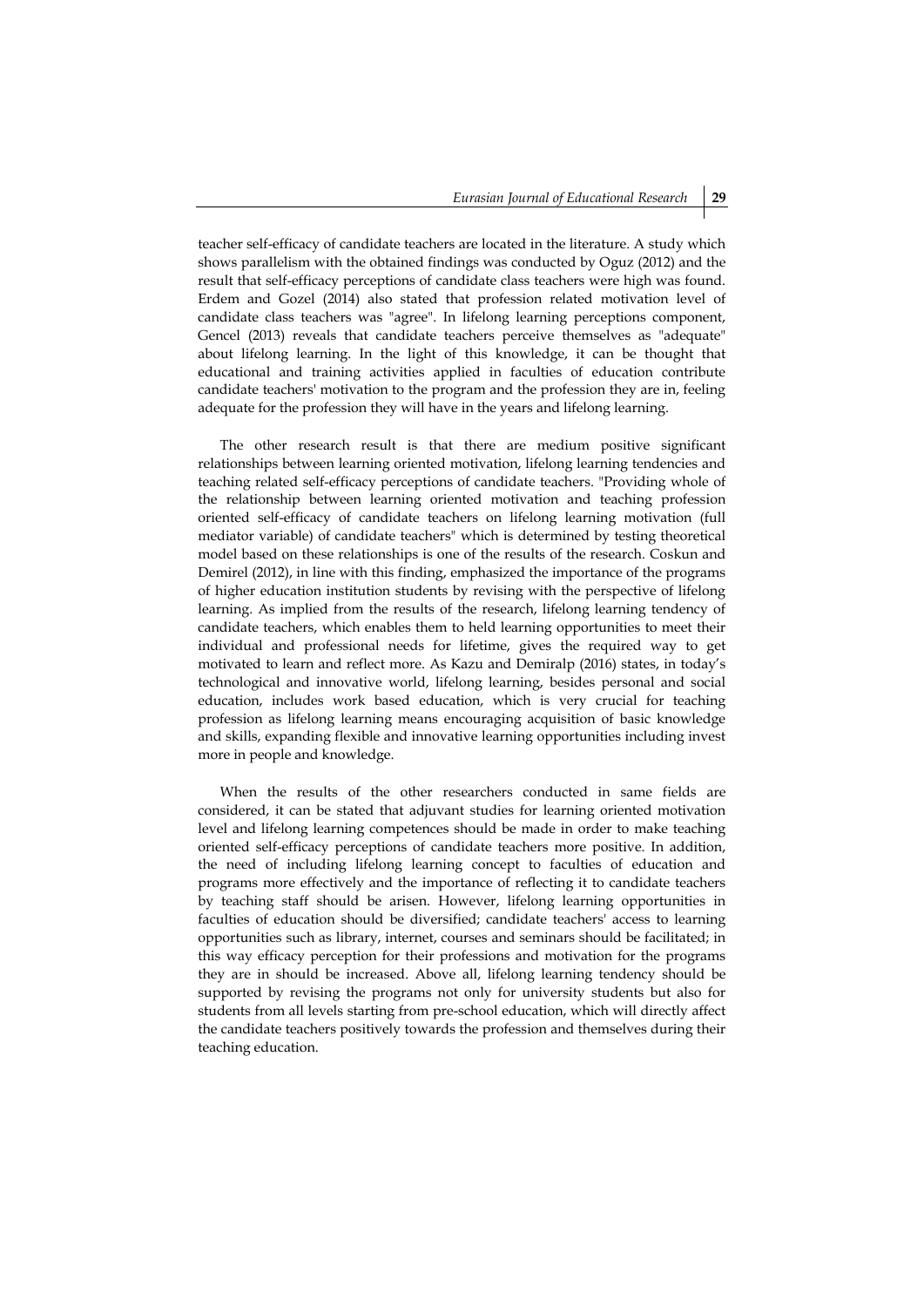teacher self-efficacy of candidate teachers are located in the literature. A study which shows parallelism with the obtained findings was conducted by Oguz (2012) and the result that self-efficacy perceptions of candidate class teachers were high was found. Erdem and Gozel (2014) also stated that profession related motivation level of candidate class teachers was "agree". In lifelong learning perceptions component, Gencel (2013) reveals that candidate teachers perceive themselves as "adequate" about lifelong learning. In the light of this knowledge, it can be thought that educational and training activities applied in faculties of education contribute candidate teachers' motivation to the program and the profession they are in, feeling adequate for the profession they will have in the years and lifelong learning.

The other research result is that there are medium positive significant relationships between learning oriented motivation, lifelong learning tendencies and teaching related self-efficacy perceptions of candidate teachers. "Providing whole of the relationship between learning oriented motivation and teaching profession oriented self-efficacy of candidate teachers on lifelong learning motivation (full mediator variable) of candidate teachers" which is determined by testing theoretical model based on these relationships is one of the results of the research. Coskun and Demirel (2012), in line with this finding, emphasized the importance of the programs of higher education institution students by revising with the perspective of lifelong learning. As implied from the results of the research, lifelong learning tendency of candidate teachers, which enables them to held learning opportunities to meet their individual and professional needs for lifetime, gives the required way to get motivated to learn and reflect more. As Kazu and Demiralp (2016) states, in today's technological and innovative world, lifelong learning, besides personal and social education, includes work based education, which is very crucial for teaching profession as lifelong learning means encouraging acquisition of basic knowledge and skills, expanding flexible and innovative learning opportunities including invest more in people and knowledge.

When the results of the other researchers conducted in same fields are considered, it can be stated that adjuvant studies for learning oriented motivation level and lifelong learning competences should be made in order to make teaching oriented self-efficacy perceptions of candidate teachers more positive. In addition, the need of including lifelong learning concept to faculties of education and programs more effectively and the importance of reflecting it to candidate teachers by teaching staff should be arisen. However, lifelong learning opportunities in faculties of education should be diversified; candidate teachers' access to learning opportunities such as library, internet, courses and seminars should be facilitated; in this way efficacy perception for their professions and motivation for the programs they are in should be increased. Above all, lifelong learning tendency should be supported by revising the programs not only for university students but also for students from all levels starting from pre-school education, which will directly affect the candidate teachers positively towards the profession and themselves during their teaching education.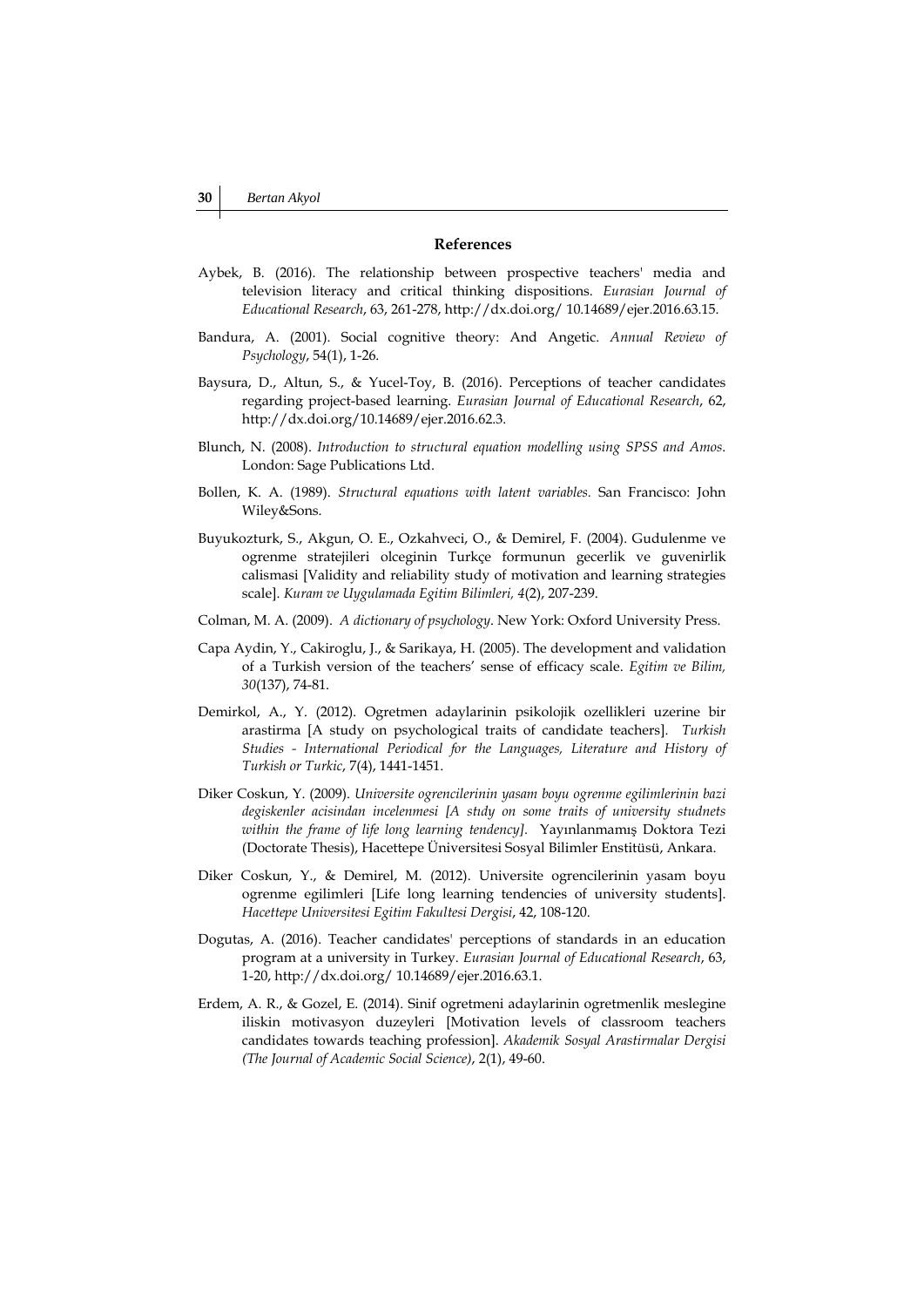# **References**

- Aybek, B. (2016). The relationship between prospective teachers' media and television literacy and critical thinking dispositions. *Eurasian Journal of Educational Research*, 63, 261-278, http://dx.doi.org/ 10.14689/ejer.2016.63.15.
- Bandura, A. (2001). Social cognitive theory: And Angetic. *Annual Review of Psychology*, 54(1), 1-26.
- Baysura, D., Altun, S., & Yucel-Toy, B. (2016). Perceptions of teacher candidates regarding project-based learning. *Eurasian Journal of Educational Research*, 62, http://dx.doi.org/10.14689/ejer.2016.62.3.
- Blunch, N. (2008). *Introduction to structural equation modelling using SPSS and Amos*. London: Sage Publications Ltd.
- Bollen, K. A. (1989). *Structural equations with latent variables.* San Francisco: John Wiley&Sons.
- Buyukozturk, S., Akgun, O. E., Ozkahveci, O., & Demirel, F. (2004). Gudulenme ve ogrenme stratejileri olceginin Turkçe formunun gecerlik ve guvenirlik calismasi [Validity and reliability study of motivation and learning strategies scale]. *Kuram ve Uygulamada Egitim Bilimleri, 4*(2), 207-239.
- Colman, M. A. (2009). *A dictionary of psychology*. New York: Oxford University Press.
- Capa Aydin, Y., Cakiroglu, J., & Sarikaya, H. (2005). The development and validation of a Turkish version of the teachers' sense of efficacy scale. *Egitim ve Bilim, 30*(137), 74-81.
- Demirkol, A., Y. (2012). Ogretmen adaylarinin psikolojik ozellikleri uzerine bir arastirma [A study on psychological traits of candidate teachers]. *Turkish Studies - International Periodical for the Languages, Literature and History of Turkish or Turkic*, 7(4), 1441-1451.
- Diker Coskun, Y. (2009). *Universite ogrencilerinin yasam boyu ogrenme egilimlerinin bazi degiskenler acisindan incelenmesi [A stıdy on some traits of university studnets within the frame of life long learning tendency].* Yayınlanmamış Doktora Tezi (Doctorate Thesis), Hacettepe Üniversitesi Sosyal Bilimler Enstitüsü, Ankara.
- Diker Coskun, Y., & Demirel, M. (2012). Universite ogrencilerinin yasam boyu ogrenme egilimleri [Life long learning tendencies of university students]. *Hacettepe Universitesi Egitim Fakultesi Dergisi*, 42, 108-120.
- Dogutas, A. (2016). Teacher candidates' perceptions of standards in an education program at a university in Turkey. *Eurasian Journal of Educational Research*, 63, 1-20, http://dx.doi.org/ 10.14689/ejer.2016.63.1.
- Erdem, A. R., & Gozel, E. (2014). Sinif ogretmeni adaylarinin ogretmenlik meslegine iliskin motivasyon duzeyleri [Motivation levels of classroom teachers candidates towards teaching profession]. *Akademik Sosyal Arastirmalar Dergisi (The Journal of Academic Social Science)*, 2(1), 49-60.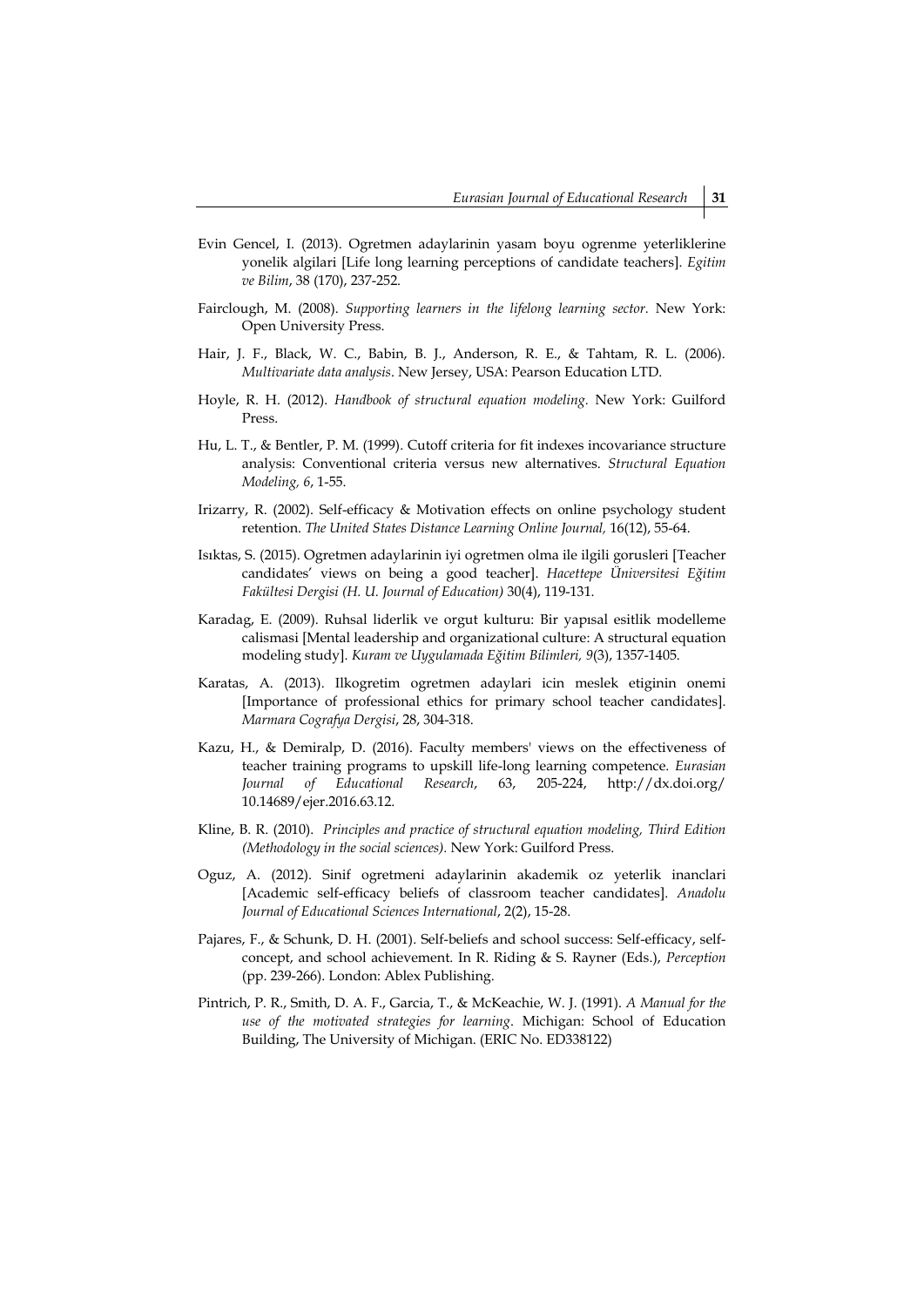- Evin Gencel, I. (2013). Ogretmen adaylarinin yasam boyu ogrenme yeterliklerine yonelik algilari [Life long learning perceptions of candidate teachers]. *Egitim ve Bilim*, 38 (170), 237-252.
- Fairclough, M. (2008). *Supporting learners in the lifelong learning sector.* New York: Open University Press.
- Hair, J. F., Black, W. C., Babin, B. J., Anderson, R. E., & Tahtam, R. L. (2006). *Multivariate data analysis*. New Jersey, USA: Pearson Education LTD.
- Hoyle, R. H. (2012). *Handbook of structural equation modeling.* New York: Guilford Press.
- Hu, L. T., & Bentler, P. M. (1999). Cutoff criteria for fit indexes incovariance structure analysis: Conventional criteria versus new alternatives. *Structural Equation Modeling, 6*, 1-55.
- Irizarry, R. (2002). Self-efficacy & Motivation effects on online psychology student retention. *The United States Distance Learning Online Journal,* 16(12), 55-64.
- Isıktas, S. (2015). Ogretmen adaylarinin iyi ogretmen olma ile ilgili gorusleri [Teacher candidates' views on being a good teacher]. *Hacettepe Üniversitesi Eğitim Fakültesi Dergisi (H. U. Journal of Education)* 30(4), 119-131.
- Karadag, E. (2009). Ruhsal liderlik ve orgut kulturu: Bir yapısal esitlik modelleme calismasi [Mental leadership and organizational culture: A structural equation modeling study]. *Kuram ve Uygulamada Eğitim Bilimleri, 9*(3), 1357-1405.
- Karatas, A. (2013). Ilkogretim ogretmen adaylari icin meslek etiginin onemi [Importance of professional ethics for primary school teacher candidates]. *Marmara Cografya Dergisi*, 28, 304-318.
- Kazu, H., & Demiralp, D. (2016). Faculty members' views on the effectiveness of teacher training programs to upskill life-long learning competence. *Eurasian Journal of Educational Research*, 63, 205-224, http://dx.doi.org/ 10.14689/ejer.2016.63.12.
- Kline, B. R. (2010). *Principles and practice of structural equation modeling, Third Edition (Methodology in the social sciences).* New York: Guilford Press.
- Oguz, A. (2012). Sinif ogretmeni adaylarinin akademik oz yeterlik inanclari [Academic self-efficacy beliefs of classroom teacher candidates]. *Anadolu Journal of Educational Sciences International*, 2(2), 15-28.
- Pajares, F., & Schunk, D. H. (2001). Self-beliefs and school success: Self-efficacy, selfconcept, and school achievement. In R. Riding & S. Rayner (Eds.), *Perception* (pp. 239-266). London: Ablex Publishing.
- Pintrich, P. R., Smith, D. A. F., Garcia, T., & McKeachie, W. J. (1991). *A Manual for the use of the motivated strategies for learning*. Michigan: School of Education Building, The University of Michigan. (ERIC No. ED338122)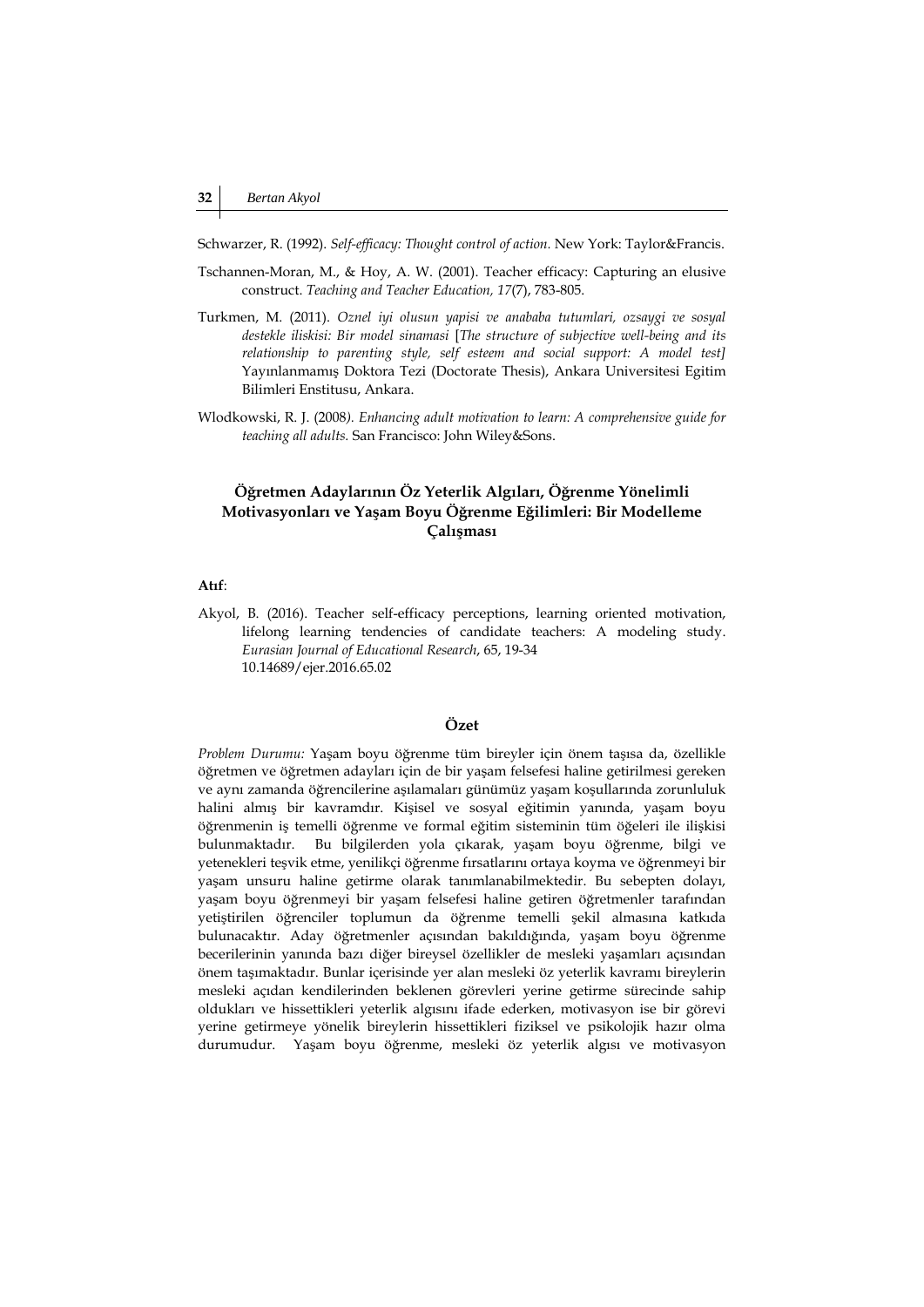Schwarzer, R. (1992). *Self-efficacy: Thought control of action.* New York: Taylor&Francis.

- Tschannen-Moran, M., & Hoy, A. W. (2001). Teacher efficacy: Capturing an elusive construct. *Teaching and Teacher Education, 17*(7), 783-805.
- Turkmen, M. (2011). *Oznel iyi olusun yapisi ve anababa tutumlari, ozsaygi ve sosyal destekle iliskisi: Bir model sinamasi* [*The structure of subjective well-being and its relationship to parenting style, self esteem and social support: A model test]*  Yayınlanmamış Doktora Tezi (Doctorate Thesis), Ankara Universitesi Egitim Bilimleri Enstitusu, Ankara.
- Wlodkowski, R. J. (2008*). Enhancing adult motivation to learn: A comprehensive guide for teaching all adults.* San Francisco: John Wiley&Sons.

# **Öğretmen Adaylarının Öz Yeterlik Algıları, Öğrenme Yönelimli Motivasyonları ve Yaşam Boyu Öğrenme Eğilimleri: Bir Modelleme Çalışması**

### **Atıf**:

Akyol, B. (2016). Teacher self-efficacy perceptions, learning oriented motivation, lifelong learning tendencies of candidate teachers: A modeling study. *Eurasian Journal of Educational Research*, 65, 19-34 10.14689/ejer.2016.65.02

# **Özet**

*Problem Durumu:* Yaşam boyu öğrenme tüm bireyler için önem taşısa da, özellikle öğretmen ve öğretmen adayları için de bir yaşam felsefesi haline getirilmesi gereken ve aynı zamanda öğrencilerine aşılamaları günümüz yaşam koşullarında zorunluluk halini almış bir kavramdır. Kişisel ve sosyal eğitimin yanında, yaşam boyu öğrenmenin iş temelli öğrenme ve formal eğitim sisteminin tüm öğeleri ile ilişkisi bulunmaktadır. Bu bilgilerden yola çıkarak, yaşam boyu öğrenme, bilgi ve yetenekleri teşvik etme, yenilikçi öğrenme fırsatlarını ortaya koyma ve öğrenmeyi bir yaşam unsuru haline getirme olarak tanımlanabilmektedir. Bu sebepten dolayı, yaşam boyu öğrenmeyi bir yaşam felsefesi haline getiren öğretmenler tarafından yetiştirilen öğrenciler toplumun da öğrenme temelli şekil almasına katkıda bulunacaktır. Aday öğretmenler açısından bakıldığında, yaşam boyu öğrenme becerilerinin yanında bazı diğer bireysel özellikler de mesleki yaşamları açısından önem taşımaktadır. Bunlar içerisinde yer alan mesleki öz yeterlik kavramı bireylerin mesleki açıdan kendilerinden beklenen görevleri yerine getirme sürecinde sahip oldukları ve hissettikleri yeterlik algısını ifade ederken, motivasyon ise bir görevi yerine getirmeye yönelik bireylerin hissettikleri fiziksel ve psikolojik hazır olma durumudur. Yaşam boyu öğrenme, mesleki öz yeterlik algısı ve motivasyon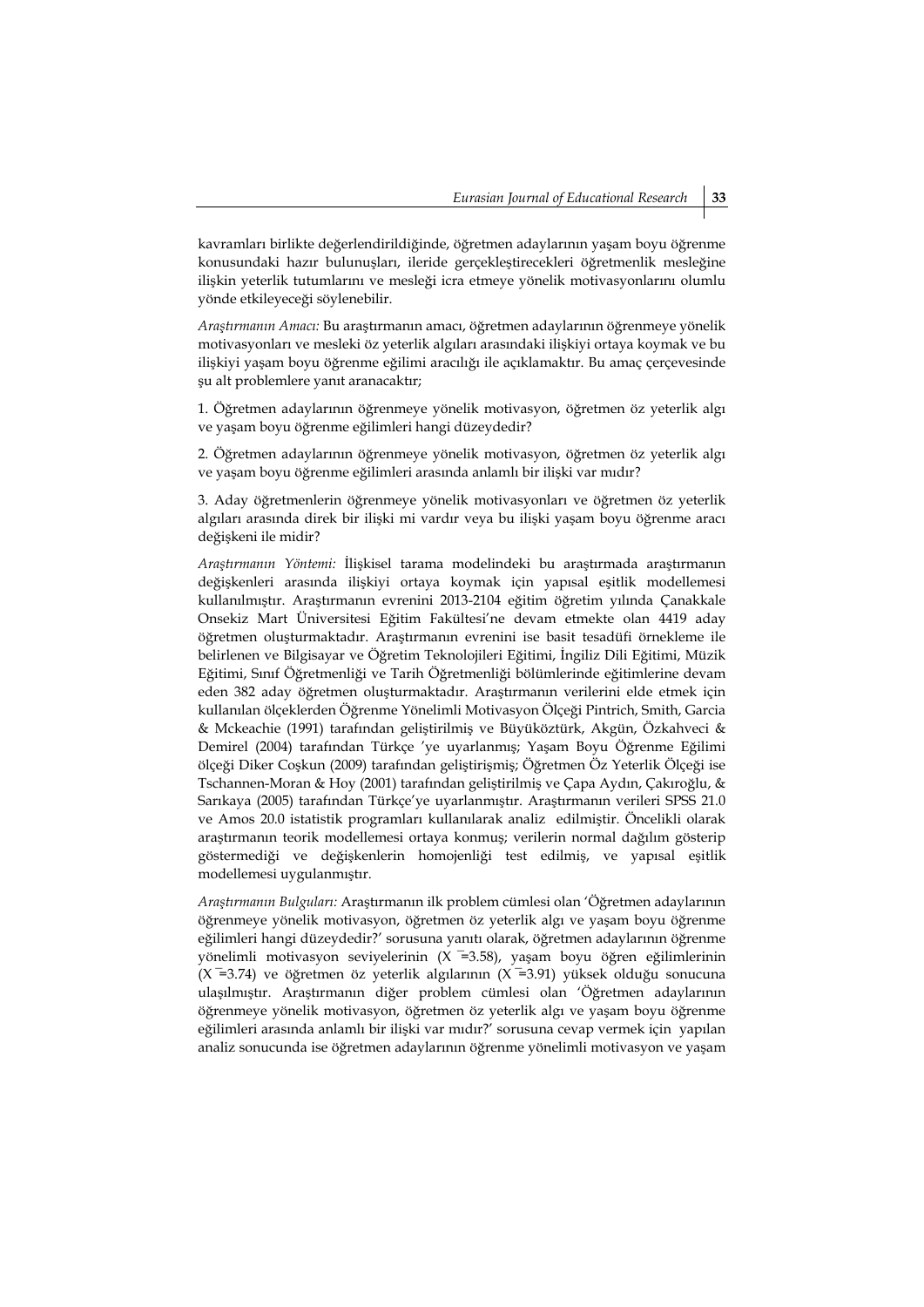kavramları birlikte değerlendirildiğinde, öğretmen adaylarının yaşam boyu öğrenme konusundaki hazır bulunuşları, ileride gerçekleştirecekleri öğretmenlik mesleğine ilişkin yeterlik tutumlarını ve mesleği icra etmeye yönelik motivasyonlarını olumlu yönde etkileyeceği söylenebilir.

*Araştırmanın Amacı:* Bu araştırmanın amacı, öğretmen adaylarının öğrenmeye yönelik motivasyonları ve mesleki öz yeterlik algıları arasındaki ilişkiyi ortaya koymak ve bu ilişkiyi yaşam boyu öğrenme eğilimi aracılığı ile açıklamaktır. Bu amaç çerçevesinde şu alt problemlere yanıt aranacaktır;

1. Öğretmen adaylarının öğrenmeye yönelik motivasyon, öğretmen öz yeterlik algı ve yaşam boyu öğrenme eğilimleri hangi düzeydedir?

2. Öğretmen adaylarının öğrenmeye yönelik motivasyon, öğretmen öz yeterlik algı ve yaşam boyu öğrenme eğilimleri arasında anlamlı bir ilişki var mıdır?

3. Aday öğretmenlerin öğrenmeye yönelik motivasyonları ve öğretmen öz yeterlik algıları arasında direk bir ilişki mi vardır veya bu ilişki yaşam boyu öğrenme aracı değişkeni ile midir?

*Araştırmanın Yöntemi:* İlişkisel tarama modelindeki bu araştırmada araştırmanın değişkenleri arasında ilişkiyi ortaya koymak için yapısal eşitlik modellemesi kullanılmıştır. Araştırmanın evrenini 2013-2104 eğitim öğretim yılında Çanakkale Onsekiz Mart Üniversitesi Eğitim Fakültesi'ne devam etmekte olan 4419 aday öğretmen oluşturmaktadır. Araştırmanın evrenini ise basit tesadüfi örnekleme ile belirlenen ve Bilgisayar ve Öğretim Teknolojileri Eğitimi, İngiliz Dili Eğitimi, Müzik Eğitimi, Sınıf Öğretmenliği ve Tarih Öğretmenliği bölümlerinde eğitimlerine devam eden 382 aday öğretmen oluşturmaktadır. Araştırmanın verilerini elde etmek için kullanılan ölçeklerden Öğrenme Yönelimli Motivasyon Ölçeği Pintrich, Smith, Garcia & Mckeachie (1991) tarafından geliştirilmiş ve Büyüköztürk, Akgün, Özkahveci & Demirel (2004) tarafından Türkçe 'ye uyarlanmış; Yaşam Boyu Öğrenme Eğilimi ölçeği Diker Coşkun (2009) tarafından geliştirişmiş; Öğretmen Öz Yeterlik Ölçeği ise Tschannen-Moran & Hoy (2001) tarafından geliştirilmiş ve Çapa Aydın, Çakıroğlu, & Sarıkaya (2005) tarafından Türkçe'ye uyarlanmıştır. Araştırmanın verileri SPSS 21.0 ve Amos 20.0 istatistik programları kullanılarak analiz edilmiştir. Öncelikli olarak araştırmanın teorik modellemesi ortaya konmuş; verilerin normal dağılım gösterip göstermediği ve değişkenlerin homojenliği test edilmiş, ve yapısal eşitlik modellemesi uygulanmıştır.

*Araştırmanın Bulguları:* Araştırmanın ilk problem cümlesi olan 'Öğretmen adaylarının öğrenmeye yönelik motivasyon, öğretmen öz yeterlik algı ve yaşam boyu öğrenme eğilimleri hangi düzeydedir?' sorusuna yanıtı olarak, öğretmen adaylarının öğrenme yönelimli motivasyon seviyelerinin (X =3.58), yaşam boyu öğren eğilimlerinin ( $X = 3.74$ ) ve öğretmen öz yeterlik algılarının ( $X = 3.91$ ) yüksek olduğu sonucuna ulaşılmıştır. Araştırmanın diğer problem cümlesi olan 'Öğretmen adaylarının öğrenmeye yönelik motivasyon, öğretmen öz yeterlik algı ve yaşam boyu öğrenme eğilimleri arasında anlamlı bir ilişki var mıdır?' sorusuna cevap vermek için yapılan analiz sonucunda ise öğretmen adaylarının öğrenme yönelimli motivasyon ve yaşam